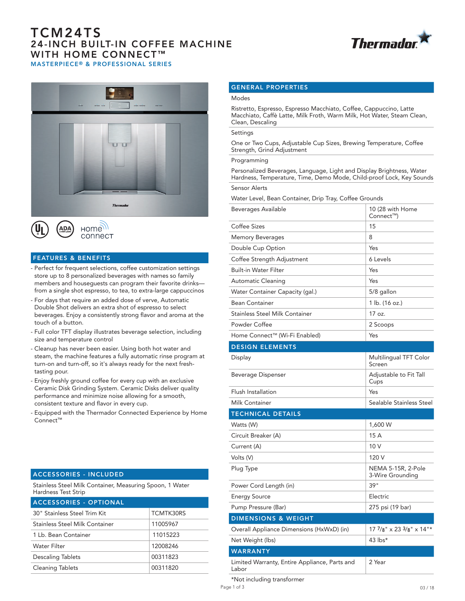# TCM24TS 24-INCH BUILT-IN COFFEE MACHINE WITH HOME CONNECT<sup>™</sup> MASTERPIECE® & PROFESSIONAL SERIES







# FEATURES & BENEFITS

- Perfect for frequent selections, coffee customization settings store up to 8 personalized beverages with names so family members and houseguests can program their favorite drinks from a single shot espresso, to tea, to extra-large cappuccinos
- For days that require an added dose of verve, Automatic Double Shot delivers an extra shot of espresso to select beverages. Enjoy a consistently strong flavor and aroma at the touch of a button.
- Full color TFT display illustrates beverage selection, including size and temperature control
- Cleanup has never been easier. Using both hot water and steam, the machine features a fully automatic rinse program at turn-on and turn-off, so it's always ready for the next freshtasting pour.
- Enjoy freshly ground coffee for every cup with an exclusive Ceramic Disk Grinding System. Ceramic Disks deliver quality performance and minimize noise allowing for a smooth, consistent texture and flavor in every cup.
- Equipped with the Thermador Connected Experience by Home Connect™

## ACCESSORIES - INCLUDED

Stainless Steel Milk Container, Measuring Spoon, 1 Water Hardness Test Strip

| ACCESSORIES - OPTIONAL         |           |
|--------------------------------|-----------|
| 30" Stainless Steel Trim Kit   | TCMTK30RS |
| Stainless Steel Milk Container | 11005967  |
| 1 Lb. Bean Container           | 11015223  |
| Water Filter                   | 12008246  |
| <b>Descaling Tablets</b>       | 00311823  |
| <b>Cleaning Tablets</b>        | 00311820  |

### GENERAL PROPERTIES

#### Modes

Ristretto, Espresso, Espresso Macchiato, Coffee, Cappuccino, Latte Macchiato, Caffè Latte, Milk Froth, Warm Milk, Hot Water, Steam Clean, Clean, Descaling

## Settings

One or Two Cups, Adjustable Cup Sizes, Brewing Temperature, Coffee Strength, Grind Adjustment

#### Programming

Personalized Beverages, Language, Light and Display Brightness, Water Hardness, Temperature, Time, Demo Mode, Child-proof Lock, Key Sounds Sensor Alerts

Water Level, Bean Container, Drip Tray, Coffee Grounds

| Beverages Available                                    | 10 (28 with Home<br>Connect™)          |
|--------------------------------------------------------|----------------------------------------|
| Coffee Sizes                                           | 15                                     |
| <b>Memory Beverages</b>                                | 8                                      |
| Double Cup Option                                      | Yes                                    |
| Coffee Strength Adjustment                             | 6 Levels                               |
| <b>Built-in Water Filter</b>                           | Yes                                    |
| <b>Automatic Cleaning</b>                              | Yes                                    |
| Water Container Capacity (gal.)                        | 5/8 gallon                             |
| <b>Bean Container</b>                                  | 1 lb. (16 oz.)                         |
| <b>Stainless Steel Milk Container</b>                  | 17 oz.                                 |
| Powder Coffee                                          | 2 Scoops                               |
| Home Connect™ (Wi-Fi Enabled)                          | Yes                                    |
| <b>DESIGN ELEMENTS</b>                                 |                                        |
| Display                                                | Multilingual TFT Color<br>Screen       |
| Beverage Dispenser                                     | Adjustable to Fit Tall<br>Cups         |
| Flush Installation                                     | Yes                                    |
| <b>Milk Container</b>                                  | Sealable Stainless Steel               |
| <b>TECHNICAL DETAILS</b>                               |                                        |
| Watts (W)                                              | 1,600 W                                |
| Circuit Breaker (A)                                    | 15 A                                   |
| Current (A)                                            | 10 V                                   |
| Volts (V)                                              | 120 V                                  |
| Plug Type                                              | NEMA 5-15R, 2-Pole<br>3-Wire Grounding |
| Power Cord Length (in)                                 | 39"                                    |
| <b>Energy Source</b>                                   | Electric                               |
| Pump Pressure (Bar)                                    | 275 psi (19 bar)                       |
| <b>DIMENSIONS &amp; WEIGHT</b>                         |                                        |
| Overall Appliance Dimensions (HxWxD) (in)              | $177/8$ " x 23 $3/8$ " x 14"*          |
| Net Weight (lbs)                                       | 43 lbs*                                |
| <b>WARRANTY</b>                                        |                                        |
| Limited Warranty, Entire Appliance, Parts and<br>Labor | 2 Year                                 |

\*Not including transformer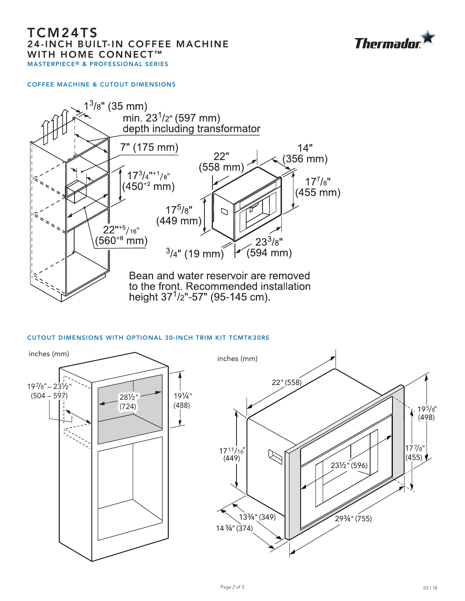# TCM24TS 24-INCH BUILT-IN COFFEE MACHINE WITH HOME CONNECT<sup>™</sup> MASTERPIECE® & PROFESSIONAL SERIES



## COFFEE MACHINE & CUTOUT DIMENSIONS



# CUTOUT DIMENSIONS WITH OPTIONAL 30-INCH TRIM KIT TCMTK30RS